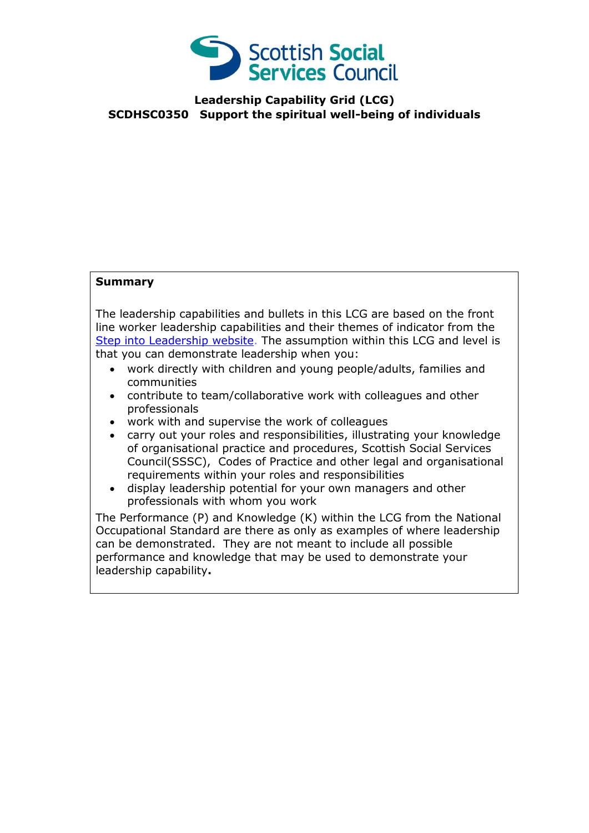

### **Leadership Capability Grid (LCG) SCDHSC0350 Support the spiritual well-being of individuals**

#### **Summary**

The leadership capabilities and bullets in this LCG are based on the front line worker leadership capabilities and their themes of indicator from the [Step into Leadership website.](http://www.stepintoleadership.info/) The assumption within this LCG and level is that you can demonstrate leadership when you:

- work directly with children and young people/adults, families and communities
- contribute to team/collaborative work with colleagues and other professionals
- work with and supervise the work of colleagues
- carry out your roles and responsibilities, illustrating your knowledge of organisational practice and procedures, Scottish Social Services Council(SSSC), Codes of Practice and other legal and organisational requirements within your roles and responsibilities
- display leadership potential for your own managers and other professionals with whom you work

The Performance (P) and Knowledge (K) within the LCG from the National Occupational Standard are there as only as examples of where leadership can be demonstrated. They are not meant to include all possible performance and knowledge that may be used to demonstrate your leadership capability**.**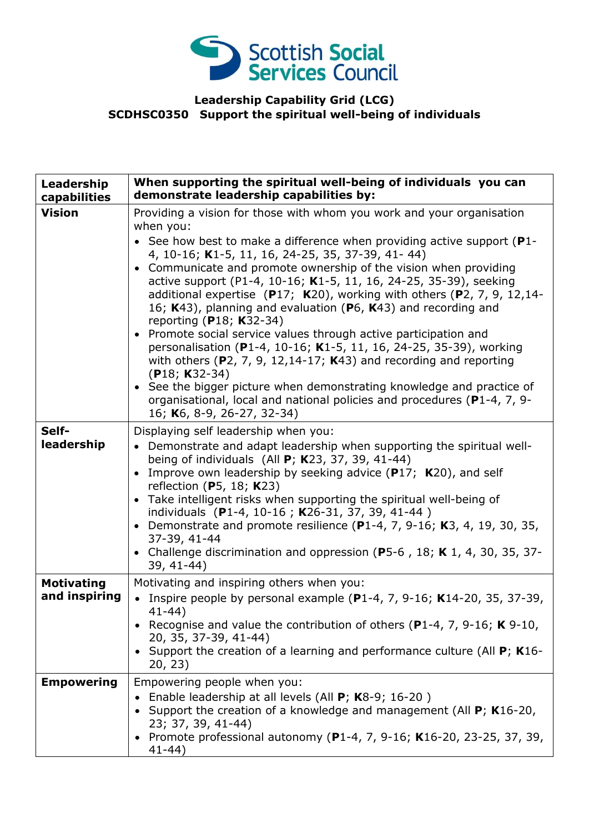

### **Leadership Capability Grid (LCG) SCDHSC0350 Support the spiritual well-being of individuals**

| Leadership<br>capabilities         | When supporting the spiritual well-being of individuals you can<br>demonstrate leadership capabilities by:                                                                                                                                                                                                                                                                                                                                                                                                                                                                                                                                                                                                                                                                                                                                                                                                                                                         |
|------------------------------------|--------------------------------------------------------------------------------------------------------------------------------------------------------------------------------------------------------------------------------------------------------------------------------------------------------------------------------------------------------------------------------------------------------------------------------------------------------------------------------------------------------------------------------------------------------------------------------------------------------------------------------------------------------------------------------------------------------------------------------------------------------------------------------------------------------------------------------------------------------------------------------------------------------------------------------------------------------------------|
| <b>Vision</b>                      | Providing a vision for those with whom you work and your organisation<br>when you:<br>• See how best to make a difference when providing active support ( $P1$ -<br>4, 10-16; K1-5, 11, 16, 24-25, 35, 37-39, 41- 44)<br>• Communicate and promote ownership of the vision when providing<br>active support (P1-4, 10-16; K1-5, 11, 16, 24-25, 35-39), seeking<br>additional expertise $(P17; K20)$ , working with others $(P2, 7, 9, 12, 14-$<br>16; K43), planning and evaluation (P6, K43) and recording and<br>reporting (P18; K32-34)<br>• Promote social service values through active participation and<br>personalisation (P1-4, 10-16; K1-5, 11, 16, 24-25, 35-39), working<br>with others ( $P$ 2, 7, 9, 12,14-17; K43) and recording and reporting<br>$(P18; K32-34)$<br>• See the bigger picture when demonstrating knowledge and practice of<br>organisational, local and national policies and procedures (P1-4, 7, 9-<br>16; K6, 8-9, 26-27, 32-34) |
| Self-<br>leadership                | Displaying self leadership when you:<br>• Demonstrate and adapt leadership when supporting the spiritual well-<br>being of individuals (All $P$ ; K23, 37, 39, 41-44)<br>Improve own leadership by seeking advice $(P17; K20)$ , and self<br>$\bullet$<br>reflection (P5, 18; $K23$ )<br>Take intelligent risks when supporting the spiritual well-being of<br>individuals (P1-4, 10-16; K26-31, 37, 39, 41-44)<br>Demonstrate and promote resilience (P1-4, 7, 9-16; K3, 4, 19, 30, 35,<br>$\bullet$<br>37-39, 41-44<br>• Challenge discrimination and oppression (P5-6, 18; K 1, 4, 30, 35, 37-<br>39, 41-44)                                                                                                                                                                                                                                                                                                                                                    |
| <b>Motivating</b><br>and inspiring | Motivating and inspiring others when you:<br>Inspire people by personal example ( $P1-4$ , 7, 9-16; K14-20, 35, 37-39,<br>$41 - 44$<br>• Recognise and value the contribution of others (P1-4, 7, 9-16; K 9-10,<br>20, 35, 37-39, 41-44)<br>Support the creation of a learning and performance culture (All P; K16-<br>20, 23)                                                                                                                                                                                                                                                                                                                                                                                                                                                                                                                                                                                                                                     |
| <b>Empowering</b>                  | Empowering people when you:<br>Enable leadership at all levels (All P; K8-9; 16-20)<br>Support the creation of a knowledge and management (All P; K16-20,<br>23; 37, 39, 41-44)<br>• Promote professional autonomy (P1-4, 7, 9-16; K16-20, 23-25, 37, 39,<br>$41 - 44)$                                                                                                                                                                                                                                                                                                                                                                                                                                                                                                                                                                                                                                                                                            |